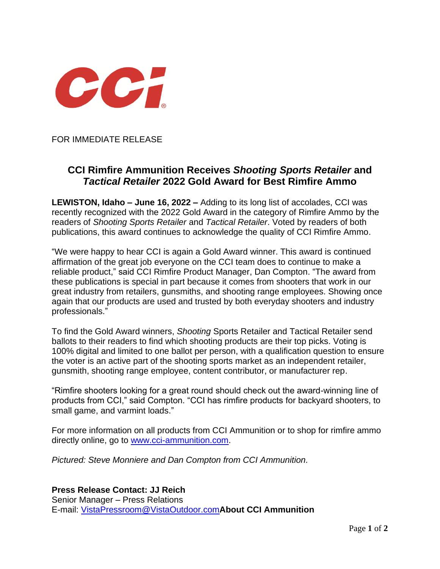

FOR IMMEDIATE RELEASE

## **CCI Rimfire Ammunition Receives** *Shooting Sports Retailer* **and**  *Tactical Retailer* **2022 Gold Award for Best Rimfire Ammo**

**LEWISTON, Idaho – June 16, 2022 –** Adding to its long list of accolades, CCI was recently recognized with the 2022 Gold Award in the category of Rimfire Ammo by the readers of *Shooting Sports Retailer* and *Tactical Retailer*. Voted by readers of both publications, this award continues to acknowledge the quality of CCI Rimfire Ammo.

"We were happy to hear CCI is again a Gold Award winner. This award is continued affirmation of the great job everyone on the CCI team does to continue to make a reliable product," said CCI Rimfire Product Manager, Dan Compton. "The award from these publications is special in part because it comes from shooters that work in our great industry from retailers, gunsmiths, and shooting range employees. Showing once again that our products are used and trusted by both everyday shooters and industry professionals."

To find the Gold Award winners, *Shooting* Sports Retailer and Tactical Retailer send ballots to their readers to find which shooting products are their top picks. Voting is 100% digital and limited to one ballot per person, with a qualification question to ensure the voter is an active part of the shooting sports market as an independent retailer, gunsmith, shooting range employee, content contributor, or manufacturer rep.

"Rimfire shooters looking for a great round should check out the award-winning line of products from CCI," said Compton. "CCI has rimfire products for backyard shooters, to small game, and varmint loads."

For more information on all products from CCI Ammunition or to shop for rimfire ammo directly online, go to [www.cci-ammunition.com.](http://www.cci-ammunition.com/)

*Pictured: Steve Monniere and Dan Compton from CCI Ammunition.*

**Press Release Contact: JJ Reich**

Senior Manager – Press Relations E-mail: [VistaPressroom@VistaOutdoor.com](mailto:VistaPressroom@VistaOutdoor.com)**About CCI Ammunition**